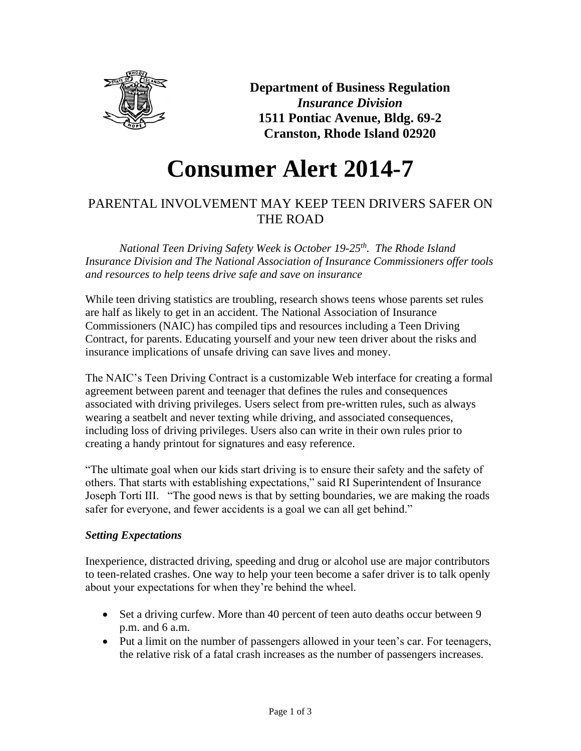

**Department of Business Regulation** *Insurance Division* **1511 Pontiac Avenue, Bldg. 69-2 Cranston, Rhode Island 02920**

# **Consumer Alert 2014-7**

# PARENTAL INVOLVEMENT MAY KEEP TEEN DRIVERS SAFER ON THE ROAD

*National Teen Driving Safety Week is October 19-25th . The Rhode Island Insurance Division and The National Association of Insurance Commissioners offer tools and resources to help teens drive safe and save on insurance* 

While teen driving statistics are troubling, research shows teens whose parents set rules are half as likely to get in an accident. The National Association of Insurance Commissioners (NAIC) has compiled tips and resources including a Teen Driving Contract, for parents. Educating yourself and your new teen driver about the risks and insurance implications of unsafe driving can save lives and money.

The NAIC's Teen Driving Contract is a customizable Web interface for creating a formal agreement between parent and teenager that defines the rules and consequences associated with driving privileges. Users select from pre-written rules, such as always wearing a seatbelt and never texting while driving, and associated consequences, including loss of driving privileges. Users also can write in their own rules prior to creating a handy printout for signatures and easy reference.

"The ultimate goal when our kids start driving is to ensure their safety and the safety of others. That starts with establishing expectations," said RI Superintendent of Insurance Joseph Torti III. "The good news is that by setting boundaries, we are making the roads safer for everyone, and fewer accidents is a goal we can all get behind."

# *Setting Expectations*

Inexperience, distracted driving, speeding and drug or alcohol use are major contributors to teen-related crashes. One way to help your teen become a safer driver is to talk openly about your expectations for when they're behind the wheel.

- Set a driving curfew. More than 40 percent of teen auto deaths occur between 9 p.m. and 6 a.m.
- Put a limit on the number of passengers allowed in your teen's car. For teenagers, the relative risk of a fatal crash increases as the number of passengers increases.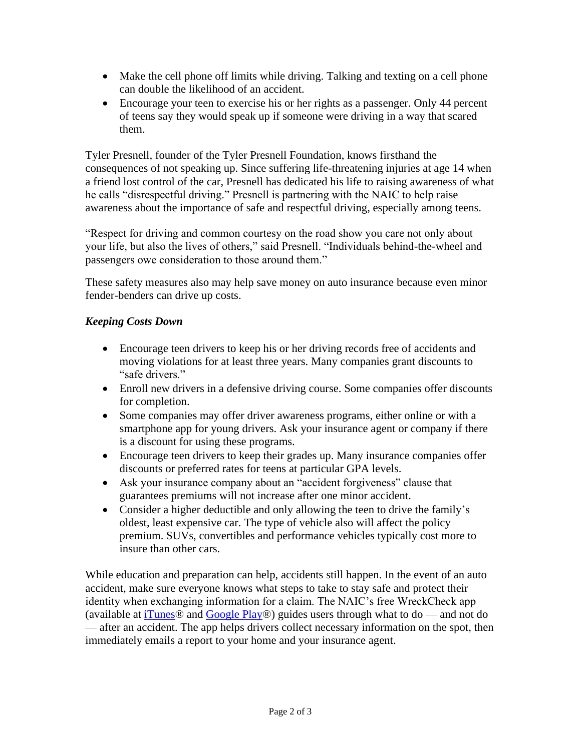- Make the cell phone off limits while driving. Talking and texting on a cell phone can double the likelihood of an accident.
- Encourage your teen to exercise his or her rights as a passenger. Only 44 percent of teens say they would speak up if someone were driving in a way that scared them.

Tyler Presnell, founder of the Tyler Presnell Foundation, knows firsthand the consequences of not speaking up. Since suffering life-threatening injuries at age 14 when a friend lost control of the car, Presnell has dedicated his life to raising awareness of what he calls "disrespectful driving." Presnell is partnering with the NAIC to help raise awareness about the importance of safe and respectful driving, especially among teens.

"Respect for driving and common courtesy on the road show you care not only about your life, but also the lives of others," said Presnell. "Individuals behind-the-wheel and passengers owe consideration to those around them."

These safety measures also may help save money on auto insurance because even minor fender-benders can drive up costs.

# *Keeping Costs Down*

- Encourage teen drivers to keep his or her driving records free of accidents and moving violations for at least three years. Many companies grant discounts to "safe drivers."
- Enroll new drivers in a defensive driving course. Some companies offer discounts for completion.
- Some companies may offer driver awareness programs, either online or with a smartphone app for young drivers. Ask your insurance agent or company if there is a discount for using these programs.
- Encourage teen drivers to keep their grades up. Many insurance companies offer discounts or preferred rates for teens at particular GPA levels.
- Ask your insurance company about an "accident forgiveness" clause that guarantees premiums will not increase after one minor accident.
- Consider a higher deductible and only allowing the teen to drive the family's oldest, least expensive car. The type of vehicle also will affect the policy premium. SUVs, convertibles and performance vehicles typically cost more to insure than other cars.

While education and preparation can help, accidents still happen. In the event of an auto accident, make sure everyone knows what steps to take to stay safe and protect their identity when exchanging information for a claim. The NAIC's free WreckCheck app (available at  $i$ Tunes<sup>®</sup> and  $Google$  Play<sup>®</sup>) guides users through what to do — and not do — after an accident. The app helps drivers collect necessary information on the spot, then immediately emails a report to your home and your insurance agent.